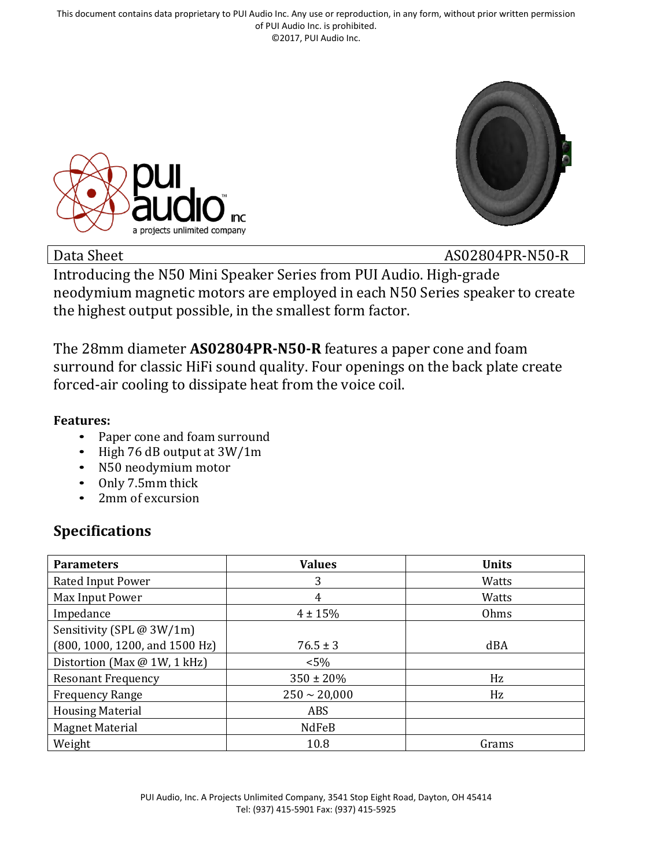This document contains data proprietary to PUI Audio Inc. Any use or reproduction, in any form, without prior written permission of PUI Audio Inc. is prohibited. ©2017, PUI Audio Inc.





Data Sheet AS02804PR-N50-R

Introducing the N50 Mini Speaker Series from PUI Audio. High-grade neodymium magnetic motors are employed in each N50 Series speaker to create the highest output possible, in the smallest form factor.

The 28mm diameter **AS02804PR-N50-R** features a paper cone and foam surround for classic HiFi sound quality. Four openings on the back plate create forced-air cooling to dissipate heat from the voice coil.

### **Features:**

- Paper cone and foam surround
- High 76 dB output at 3W/1m
- N50 neodymium motor
- Only 7.5mm thick
- 2mm of excursion

## **Specifications**

| <b>Parameters</b>              | <b>Values</b>     | <b>Units</b> |
|--------------------------------|-------------------|--------------|
| Rated Input Power              | 3                 | Watts        |
| Max Input Power                | 4                 | Watts        |
| Impedance                      | $4 \pm 15%$       | Ohms         |
| Sensitivity (SPL @ 3W/1m)      |                   |              |
| (800, 1000, 1200, and 1500 Hz) | $76.5 \pm 3$      | dBA          |
| Distortion (Max @ 1W, 1 kHz)   | $< 5\%$           |              |
| <b>Resonant Frequency</b>      | $350 \pm 20\%$    | Hz           |
| <b>Frequency Range</b>         | $250 \sim 20,000$ | Hz           |
| <b>Housing Material</b>        | ABS               |              |
| <b>Magnet Material</b>         | NdFeB             |              |
| Weight                         | 10.8              | Grams        |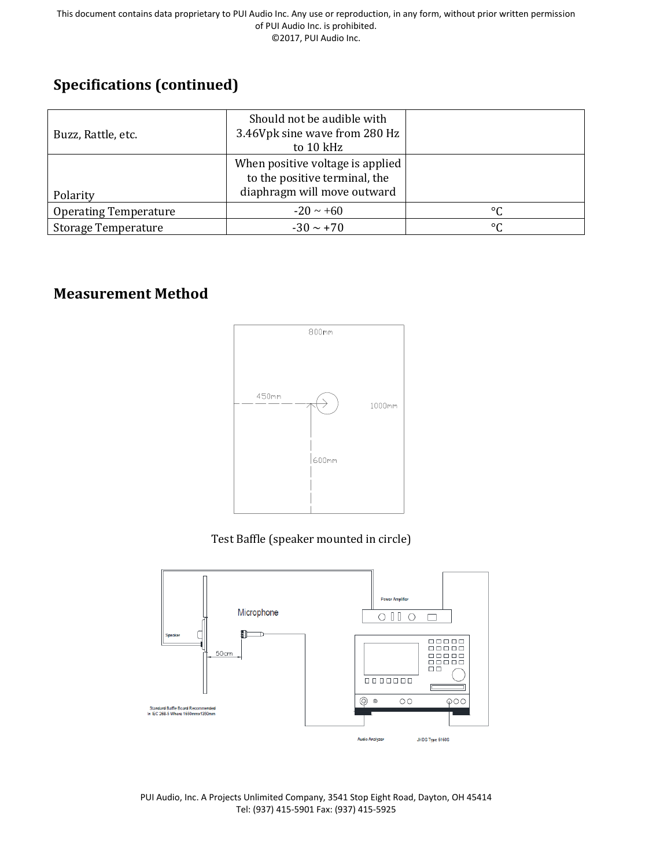## **Specifications (continued)**

| Buzz, Rattle, etc.           | Should not be audible with<br>3.46Vpk sine wave from 280 Hz<br>to 10 kHz                         |                 |
|------------------------------|--------------------------------------------------------------------------------------------------|-----------------|
| Polarity                     | When positive voltage is applied<br>to the positive terminal, the<br>diaphragm will move outward |                 |
| <b>Operating Temperature</b> | $-20 \sim +60$                                                                                   | $\rm ^{\circ}C$ |
| <b>Storage Temperature</b>   | $-30 \sim +70$                                                                                   | $\rm ^{\circ}C$ |

## **Measurement Method**



Test Baffle (speaker mounted in circle)



PUI Audio, Inc. A Projects Unlimited Company, 3541 Stop Eight Road, Dayton, OH 45414 Tel: (937) 415-5901 Fax: (937) 415-5925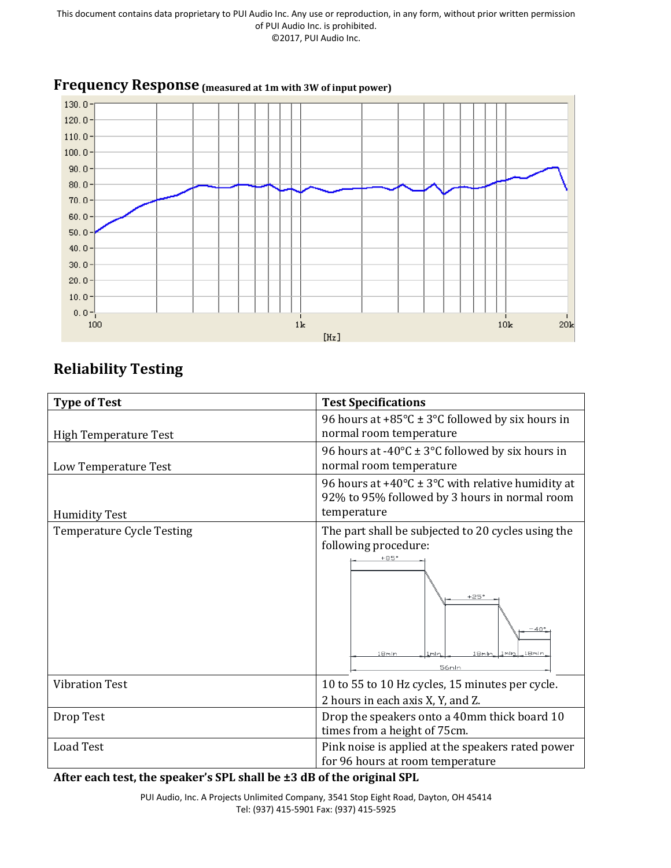

# **Frequency Response (measured at 1m with 3W of input power)**

## **Reliability Testing**

| <b>Type of Test</b>              | <b>Test Specifications</b>                                                                                             |  |
|----------------------------------|------------------------------------------------------------------------------------------------------------------------|--|
|                                  | 96 hours at +85 $\textdegree$ C ± 3 $\textdegree$ C followed by six hours in                                           |  |
| <b>High Temperature Test</b>     | normal room temperature                                                                                                |  |
|                                  | 96 hours at -40 $\textdegree$ C ± 3 $\textdegree$ C followed by six hours in                                           |  |
| Low Temperature Test             | normal room temperature                                                                                                |  |
|                                  | 96 hours at +40 $\degree$ C ± 3 $\degree$ C with relative humidity at<br>92% to 95% followed by 3 hours in normal room |  |
| <b>Humidity Test</b>             | temperature                                                                                                            |  |
| <b>Temperature Cycle Testing</b> | The part shall be subjected to 20 cycles using the                                                                     |  |
|                                  | following procedure:                                                                                                   |  |
|                                  | $+25'$<br>$-40°$<br>18mln<br>18mln<br>1mln<br>.8mln.<br>56mln                                                          |  |
| <b>Vibration Test</b>            | 10 to 55 to 10 Hz cycles, 15 minutes per cycle.                                                                        |  |
|                                  | 2 hours in each axis X, Y, and Z.                                                                                      |  |
| Drop Test                        | Drop the speakers onto a 40mm thick board 10                                                                           |  |
|                                  | times from a height of 75cm.                                                                                           |  |
| <b>Load Test</b>                 | Pink noise is applied at the speakers rated power                                                                      |  |
|                                  | for 96 hours at room temperature                                                                                       |  |

**After each test, the speaker's SPL shall be ±3 dB of the original SPL**

PUI Audio, Inc. A Projects Unlimited Company, 3541 Stop Eight Road, Dayton, OH 45414 Tel: (937) 415-5901 Fax: (937) 415-5925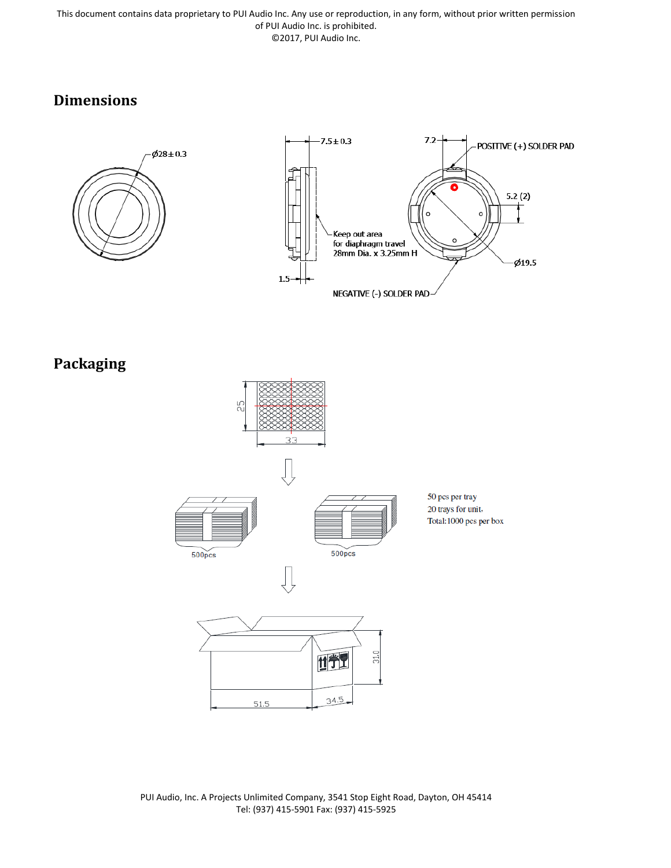This document contains data proprietary to PUI Audio Inc. Any use or reproduction, in any form, without prior written permission of PUI Audio Inc. is prohibited. ©2017, PUI Audio Inc.

## **Dimensions**





**Packaging**